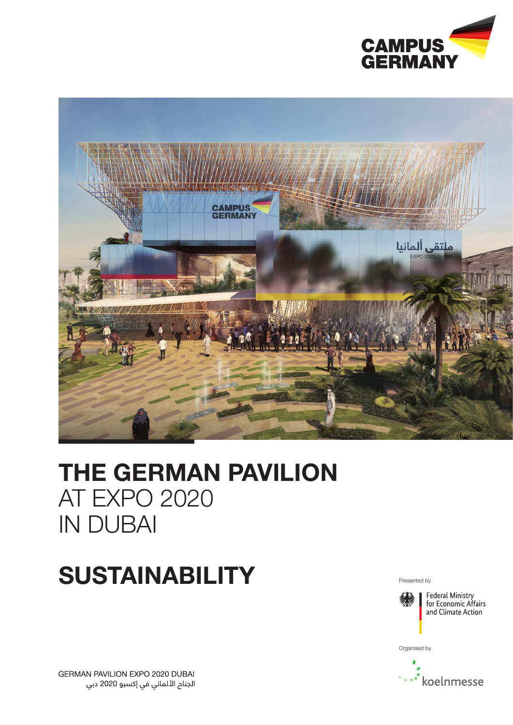



## THE GERMAN PAVILION AT EXPO 2020 IN DUBAI

# SUSTAINABILITY Presented by



Organised by



GERMAN PAVILION EXPO 2020 DUBAI الجنام الألماني في إكسبو 2020 دبي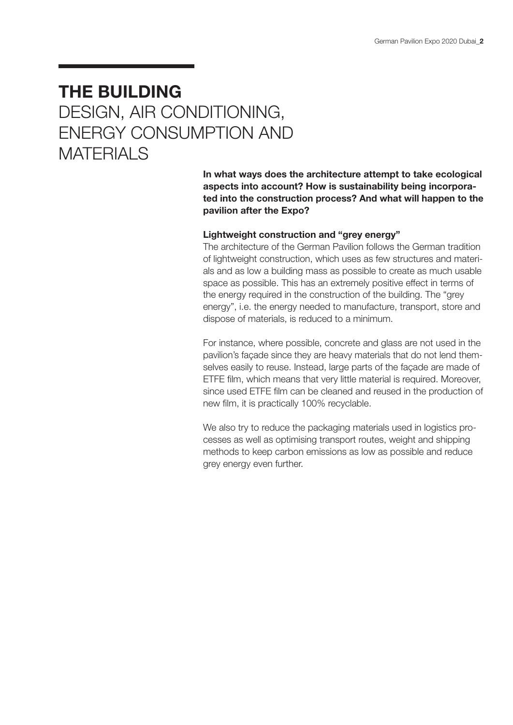### THE BUILDING DESIGN, AIR CONDITIONING, ENERGY CONSUMPTION AND **MATERIALS**

In what ways does the architecture attempt to take ecological aspects into account? How is sustainability being incorporated into the construction process? And what will happen to the pavilion after the Expo?

### Lightweight construction and "grey energy"

The architecture of the German Pavilion follows the German tradition of lightweight construction, which uses as few structures and materials and as low a building mass as possible to create as much usable space as possible. This has an extremely positive effect in terms of the energy required in the construction of the building. The "grey energy", i.e. the energy needed to manufacture, transport, store and dispose of materials, is reduced to a minimum.

For instance, where possible, concrete and glass are not used in the pavilion's façade since they are heavy materials that do not lend themselves easily to reuse. Instead, large parts of the façade are made of ETFE film, which means that very little material is required. Moreover, since used ETFE film can be cleaned and reused in the production of new film, it is practically 100% recyclable.

We also try to reduce the packaging materials used in logistics processes as well as optimising transport routes, weight and shipping methods to keep carbon emissions as low as possible and reduce grey energy even further.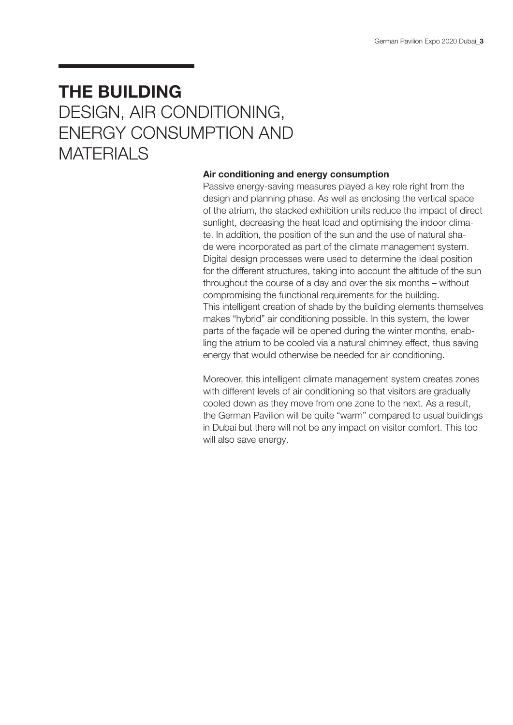### THE BUILDING DESIGN, AIR CONDITIONING, ENERGY CONSUMPTION AND **MATERIALS**

#### Air conditioning and energy consumption

Passive energy-saving measures played a key role right from the design and planning phase. As well as enclosing the vertical space of the atrium, the stacked exhibition units reduce the impact of direct sunlight, decreasing the heat load and optimising the indoor climate. In addition, the position of the sun and the use of natural shade were incorporated as part of the climate management system. Digital design processes were used to determine the ideal position for the different structures, taking into account the altitude of the sun throughout the course of a day and over the six months – without compromising the functional requirements for the building. This intelligent creation of shade by the building elements themselves makes "hybrid" air conditioning possible. In this system, the lower parts of the façade will be opened during the winter months, enabling the atrium to be cooled via a natural chimney effect, thus saving energy that would otherwise be needed for air conditioning.

Moreover, this intelligent climate management system creates zones with different levels of air conditioning so that visitors are gradually cooled down as they move from one zone to the next. As a result, the German Pavilion will be quite "warm" compared to usual buildings in Dubai but there will not be any impact on visitor comfort. This too will also save energy.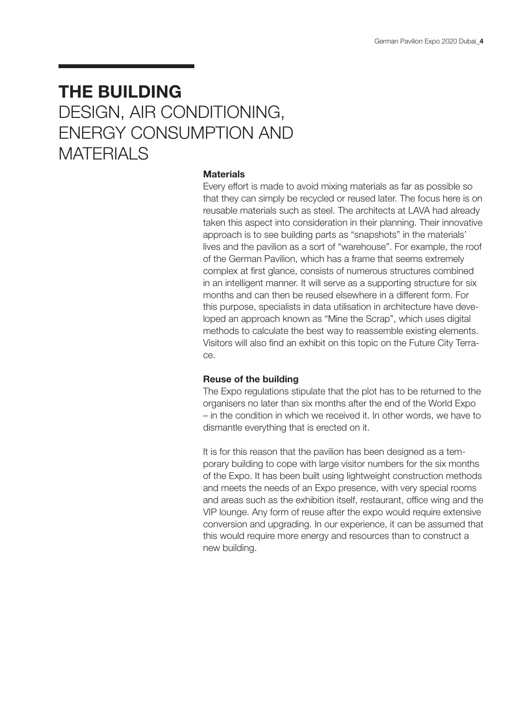### THE BUILDING DESIGN, AIR CONDITIONING, ENERGY CONSUMPTION AND **MATERIALS**

#### **Materials**

Every effort is made to avoid mixing materials as far as possible so that they can simply be recycled or reused later. The focus here is on reusable materials such as steel. The architects at LAVA had already taken this aspect into consideration in their planning. Their innovative approach is to see building parts as "snapshots" in the materials' lives and the pavilion as a sort of "warehouse". For example, the roof of the German Pavilion, which has a frame that seems extremely complex at first glance, consists of numerous structures combined in an intelligent manner. It will serve as a supporting structure for six months and can then be reused elsewhere in a different form. For this purpose, specialists in data utilisation in architecture have developed an approach known as "Mine the Scrap", which uses digital methods to calculate the best way to reassemble existing elements. Visitors will also find an exhibit on this topic on the Future City Terrace.

#### Reuse of the building

The Expo regulations stipulate that the plot has to be returned to the organisers no later than six months after the end of the World Expo – in the condition in which we received it. In other words, we have to dismantle everything that is erected on it.

It is for this reason that the pavilion has been designed as a temporary building to cope with large visitor numbers for the six months of the Expo. It has been built using lightweight construction methods and meets the needs of an Expo presence, with very special rooms and areas such as the exhibition itself, restaurant, office wing and the VIP lounge. Any form of reuse after the expo would require extensive conversion and upgrading. In our experience, it can be assumed that this would require more energy and resources than to construct a new building.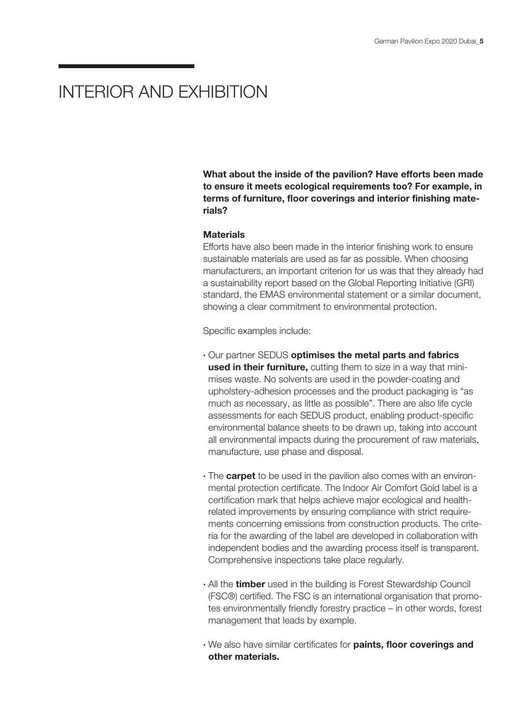### INTERIOR AND EXHIBITION

What about the inside of the pavilion? Have efforts been made to ensure it meets ecological requirements too? For example, in terms of furniture, floor coverings and interior finishing materials?

#### **Materials**

Efforts have also been made in the interior finishing work to ensure sustainable materials are used as far as possible. When choosing manufacturers, an important criterion for us was that they already had a sustainability report based on the Global Reporting Initiative (GRI) standard, the EMAS environmental statement or a similar document, showing a clear commitment to environmental protection.

Specific examples include:

- · Our partner SEDUS optimises the metal parts and fabrics used in their furniture, cutting them to size in a way that minimises waste. No solvents are used in the powder-coating and upholstery-adhesion processes and the product packaging is "as much as necessary, as little as possible". There are also life cycle assessments for each SEDUS product, enabling product-specific environmental balance sheets to be drawn up, taking into account all environmental impacts during the procurement of raw materials, manufacture, use phase and disposal.
- The **carpet** to be used in the pavilion also comes with an environmental protection certificate. The Indoor Air Comfort Gold label is a certification mark that helps achieve major ecological and healthrelated improvements by ensuring compliance with strict requirements concerning emissions from construction products. The criteria for the awarding of the label are developed in collaboration with independent bodies and the awarding process itself is transparent. Comprehensive inspections take place regularly.
- All the **timber** used in the building is Forest Stewardship Council (FSC®) certified. The FSC is an international organisation that promotes environmentally friendly forestry practice – in other words, forest management that leads by example.
- · We also have similar certificates for paints, floor coverings and other materials.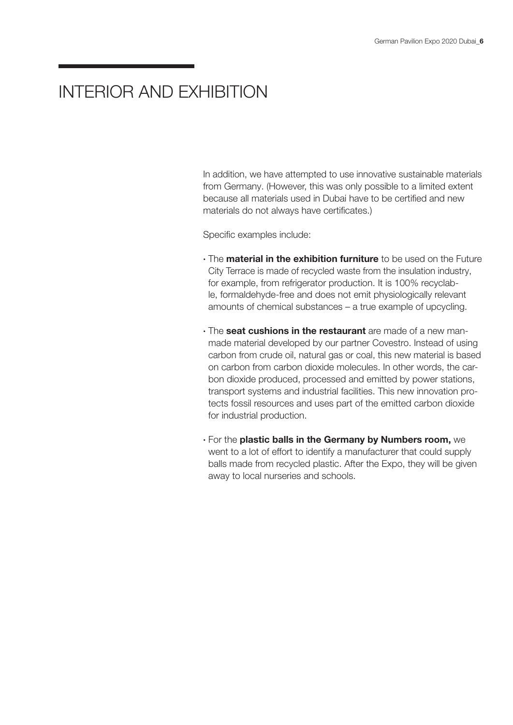### INTERIOR AND EXHIBITION

In addition, we have attempted to use innovative sustainable materials from Germany. (However, this was only possible to a limited extent because all materials used in Dubai have to be certified and new materials do not always have certificates.)

Specific examples include:

- The **material in the exhibition furniture** to be used on the Future City Terrace is made of recycled waste from the insulation industry, for example, from refrigerator production. It is 100% recyclable, formaldehyde-free and does not emit physiologically relevant amounts of chemical substances – a true example of upcycling.
- The **seat cushions in the restaurant** are made of a new manmade material developed by our partner Covestro. Instead of using carbon from crude oil, natural gas or coal, this new material is based on carbon from carbon dioxide molecules. In other words, the carbon dioxide produced, processed and emitted by power stations, transport systems and industrial facilities. This new innovation protects fossil resources and uses part of the emitted carbon dioxide for industrial production.
- · For the plastic balls in the Germany by Numbers room, we went to a lot of effort to identify a manufacturer that could supply balls made from recycled plastic. After the Expo, they will be given away to local nurseries and schools.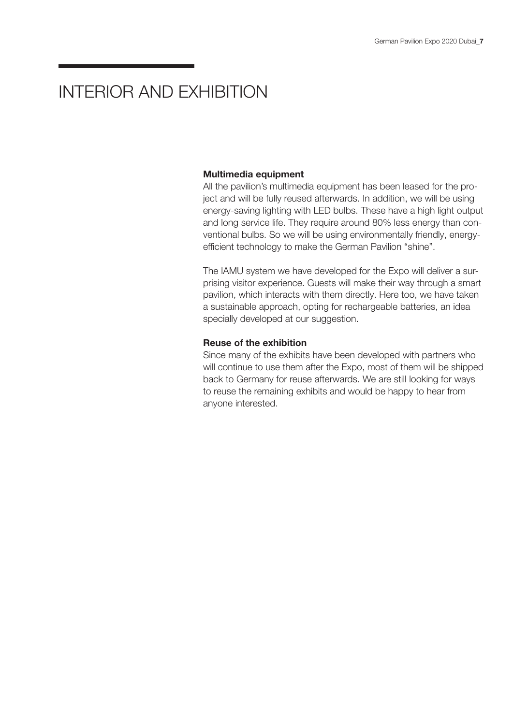### INTERIOR AND EXHIBITION

#### Multimedia equipment

All the pavilion's multimedia equipment has been leased for the project and will be fully reused afterwards. In addition, we will be using energy-saving lighting with LED bulbs. These have a high light output and long service life. They require around 80% less energy than conventional bulbs. So we will be using environmentally friendly, energyefficient technology to make the German Pavilion "shine".

The IAMU system we have developed for the Expo will deliver a surprising visitor experience. Guests will make their way through a smart pavilion, which interacts with them directly. Here too, we have taken a sustainable approach, opting for rechargeable batteries, an idea specially developed at our suggestion.

#### Reuse of the exhibition

Since many of the exhibits have been developed with partners who will continue to use them after the Expo, most of them will be shipped back to Germany for reuse afterwards. We are still looking for ways to reuse the remaining exhibits and would be happy to hear from anyone interested.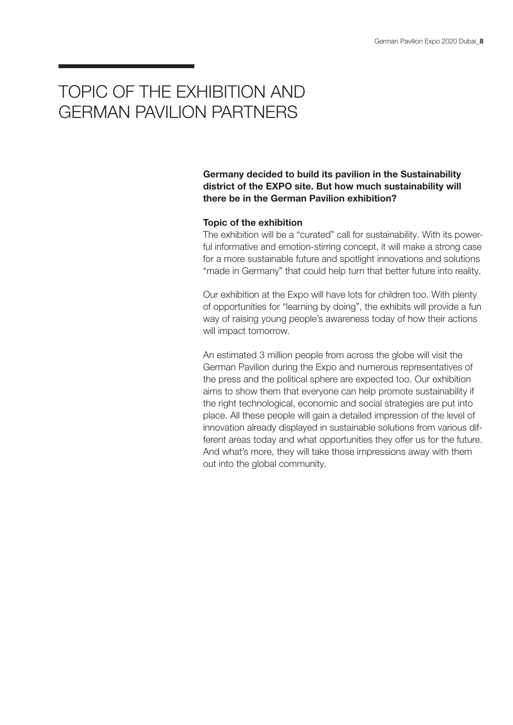### TOPIC OF THE EXHIBITION AND GERMAN PAVILION PARTNERS

Germany decided to build its pavilion in the Sustainability district of the EXPO site. But how much sustainability will there be in the German Pavilion exhibition?

### Topic of the exhibition

The exhibition will be a "curated" call for sustainability. With its powerful informative and emotion-stirring concept, it will make a strong case for a more sustainable future and spotlight innovations and solutions "made in Germany" that could help turn that better future into reality.

Our exhibition at the Expo will have lots for children too. With plenty of opportunities for "learning by doing", the exhibits will provide a fun way of raising young people's awareness today of how their actions will impact tomorrow.

An estimated 3 million people from across the globe will visit the German Pavilion during the Expo and numerous representatives of the press and the political sphere are expected too. Our exhibition aims to show them that everyone can help promote sustainability if the right technological, economic and social strategies are put into place. All these people will gain a detailed impression of the level of innovation already displayed in sustainable solutions from various different areas today and what opportunities they offer us for the future. And what's more, they will take those impressions away with them out into the global community.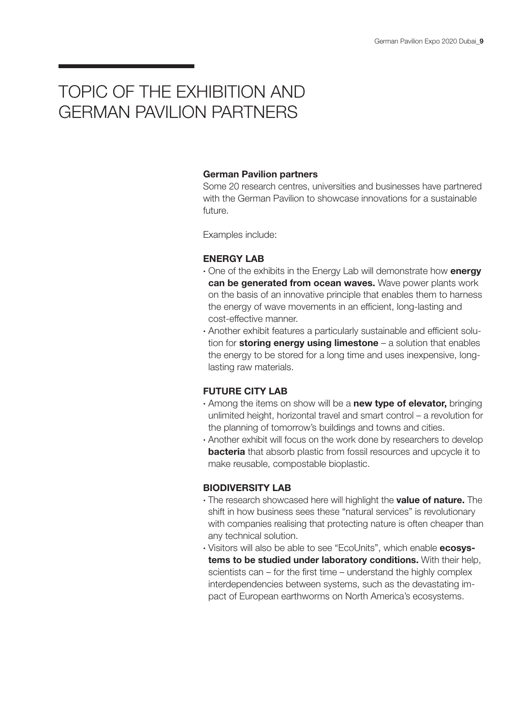### TOPIC OF THE EXHIBITION AND GERMAN PAVILION PARTNERS

#### German Pavilion partners

Some 20 research centres, universities and businesses have partnered with the German Pavilion to showcase innovations for a sustainable future.

Examples include:

### ENERGY LAB

- One of the exhibits in the Energy Lab will demonstrate how energy can be generated from ocean waves. Wave power plants work on the basis of an innovative principle that enables them to harness the energy of wave movements in an efficient, long-lasting and cost-effective manner.
- · Another exhibit features a particularly sustainable and efficient solution for storing energy using limestone  $-$  a solution that enables the energy to be stored for a long time and uses inexpensive, longlasting raw materials.

### FUTURE CITY LAB

- Among the items on show will be a **new type of elevator**, bringing unlimited height, horizontal travel and smart control – a revolution for the planning of tomorrow's buildings and towns and cities.
- · Another exhibit will focus on the work done by researchers to develop **bacteria** that absorb plastic from fossil resources and upcycle it to make reusable, compostable bioplastic.

### BIODIVERSITY LAB

- The research showcased here will highlight the **value of nature.** The shift in how business sees these "natural services" is revolutionary with companies realising that protecting nature is often cheaper than any technical solution.
- Visitors will also be able to see "EcoUnits", which enable **ecosys**tems to be studied under laboratory conditions. With their help, scientists can – for the first time – understand the highly complex interdependencies between systems, such as the devastating impact of European earthworms on North America's ecosystems.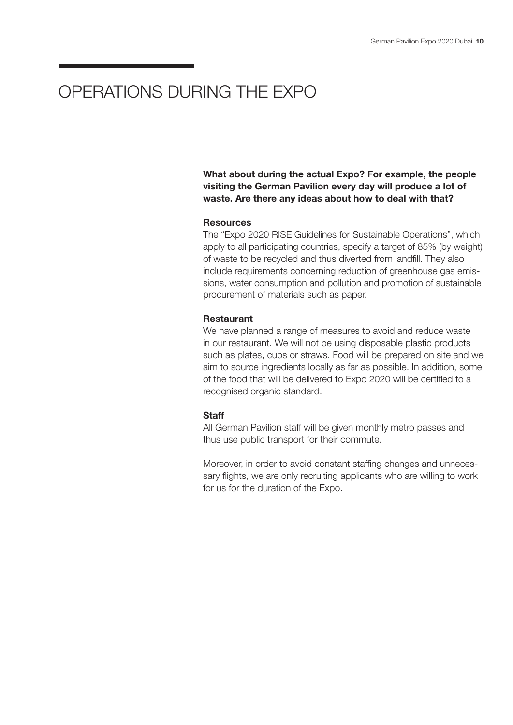### OPERATIONS DURING THE EXPO

What about during the actual Expo? For example, the people visiting the German Pavilion every day will produce a lot of waste. Are there any ideas about how to deal with that?

### **Resources**

The "Expo 2020 RISE Guidelines for Sustainable Operations", which apply to all participating countries, specify a target of 85% (by weight) of waste to be recycled and thus diverted from landfill. They also include requirements concerning reduction of greenhouse gas emissions, water consumption and pollution and promotion of sustainable procurement of materials such as paper.

#### **Restaurant**

We have planned a range of measures to avoid and reduce waste in our restaurant. We will not be using disposable plastic products such as plates, cups or straws. Food will be prepared on site and we aim to source ingredients locally as far as possible. In addition, some of the food that will be delivered to Expo 2020 will be certified to a recognised organic standard.

### **Staff**

All German Pavilion staff will be given monthly metro passes and thus use public transport for their commute.

Moreover, in order to avoid constant staffing changes and unnecessary flights, we are only recruiting applicants who are willing to work for us for the duration of the Expo.